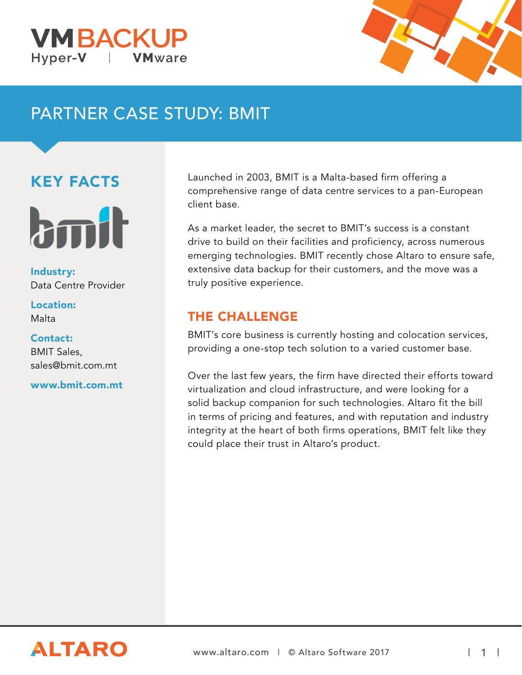



# PARTNER CASE STUDY: BMIT

## KEY FACTS



Industry: Data Centre Provider

#### Location: Malta

Contact: BMIT Sales, sales@bmit.com.mt

www.bmit.com.mt

Launched in 2003, BMIT is a Malta-based firm offering a comprehensive range of data centre services to a pan-European client base.

As a market leader, the secret to BMIT's success is a constant drive to build on their facilities and proficiency, across numerous emerging technologies. BMIT recently chose Altaro to ensure safe, extensive data backup for their customers, and the move was a truly positive experience.

### THE CHALLENGE

BMIT's core business is currently hosting and colocation services, providing a one-stop tech solution to a varied customer base.

Over the last few years, the firm have directed their efforts toward virtualization and cloud infrastructure, and were looking for a solid backup companion for such technologies. Altaro fit the bill in terms of pricing and features, and with reputation and industry integrity at the heart of both firms operations, BMIT felt like they could place their trust in Altaro's product.